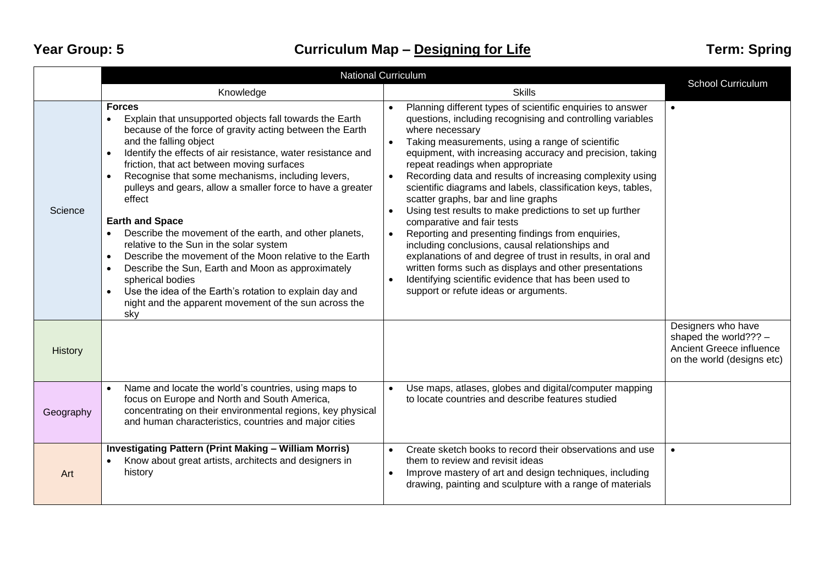|           | <b>National Curriculum</b>                                                                                                                                                                                                                                                                                                                                                                                                                                                                                                                                                                                                                                                                                                                                                                                                                     |                                                                                                                                                                                                                                                                                                                                                                                                                                                                                                                                                                                                                                                                                                                                                                                                                                                                                                                             |                                                                                                         |
|-----------|------------------------------------------------------------------------------------------------------------------------------------------------------------------------------------------------------------------------------------------------------------------------------------------------------------------------------------------------------------------------------------------------------------------------------------------------------------------------------------------------------------------------------------------------------------------------------------------------------------------------------------------------------------------------------------------------------------------------------------------------------------------------------------------------------------------------------------------------|-----------------------------------------------------------------------------------------------------------------------------------------------------------------------------------------------------------------------------------------------------------------------------------------------------------------------------------------------------------------------------------------------------------------------------------------------------------------------------------------------------------------------------------------------------------------------------------------------------------------------------------------------------------------------------------------------------------------------------------------------------------------------------------------------------------------------------------------------------------------------------------------------------------------------------|---------------------------------------------------------------------------------------------------------|
|           | Knowledge                                                                                                                                                                                                                                                                                                                                                                                                                                                                                                                                                                                                                                                                                                                                                                                                                                      | <b>Skills</b>                                                                                                                                                                                                                                                                                                                                                                                                                                                                                                                                                                                                                                                                                                                                                                                                                                                                                                               | <b>School Curriculum</b>                                                                                |
| Science   | <b>Forces</b><br>Explain that unsupported objects fall towards the Earth<br>because of the force of gravity acting between the Earth<br>and the falling object<br>Identify the effects of air resistance, water resistance and<br>friction, that act between moving surfaces<br>Recognise that some mechanisms, including levers,<br>pulleys and gears, allow a smaller force to have a greater<br>effect<br><b>Earth and Space</b><br>Describe the movement of the earth, and other planets,<br>relative to the Sun in the solar system<br>Describe the movement of the Moon relative to the Earth<br>$\bullet$<br>Describe the Sun, Earth and Moon as approximately<br>$\bullet$<br>spherical bodies<br>Use the idea of the Earth's rotation to explain day and<br>$\bullet$<br>night and the apparent movement of the sun across the<br>sky | Planning different types of scientific enquiries to answer<br>questions, including recognising and controlling variables<br>where necessary<br>Taking measurements, using a range of scientific<br>equipment, with increasing accuracy and precision, taking<br>repeat readings when appropriate<br>Recording data and results of increasing complexity using<br>scientific diagrams and labels, classification keys, tables,<br>scatter graphs, bar and line graphs<br>Using test results to make predictions to set up further<br>$\bullet$<br>comparative and fair tests<br>Reporting and presenting findings from enquiries,<br>including conclusions, causal relationships and<br>explanations of and degree of trust in results, in oral and<br>written forms such as displays and other presentations<br>Identifying scientific evidence that has been used to<br>$\bullet$<br>support or refute ideas or arguments. | $\bullet$                                                                                               |
| History   |                                                                                                                                                                                                                                                                                                                                                                                                                                                                                                                                                                                                                                                                                                                                                                                                                                                |                                                                                                                                                                                                                                                                                                                                                                                                                                                                                                                                                                                                                                                                                                                                                                                                                                                                                                                             | Designers who have<br>shaped the world??? $-$<br>Ancient Greece influence<br>on the world (designs etc) |
| Geography | Name and locate the world's countries, using maps to<br>focus on Europe and North and South America,<br>concentrating on their environmental regions, key physical<br>and human characteristics, countries and major cities                                                                                                                                                                                                                                                                                                                                                                                                                                                                                                                                                                                                                    | Use maps, atlases, globes and digital/computer mapping<br>to locate countries and describe features studied                                                                                                                                                                                                                                                                                                                                                                                                                                                                                                                                                                                                                                                                                                                                                                                                                 |                                                                                                         |
| Art       | <b>Investigating Pattern (Print Making - William Morris)</b><br>Know about great artists, architects and designers in<br>history                                                                                                                                                                                                                                                                                                                                                                                                                                                                                                                                                                                                                                                                                                               | Create sketch books to record their observations and use<br>$\bullet$<br>them to review and revisit ideas<br>Improve mastery of art and design techniques, including<br>drawing, painting and sculpture with a range of materials                                                                                                                                                                                                                                                                                                                                                                                                                                                                                                                                                                                                                                                                                           | $\bullet$                                                                                               |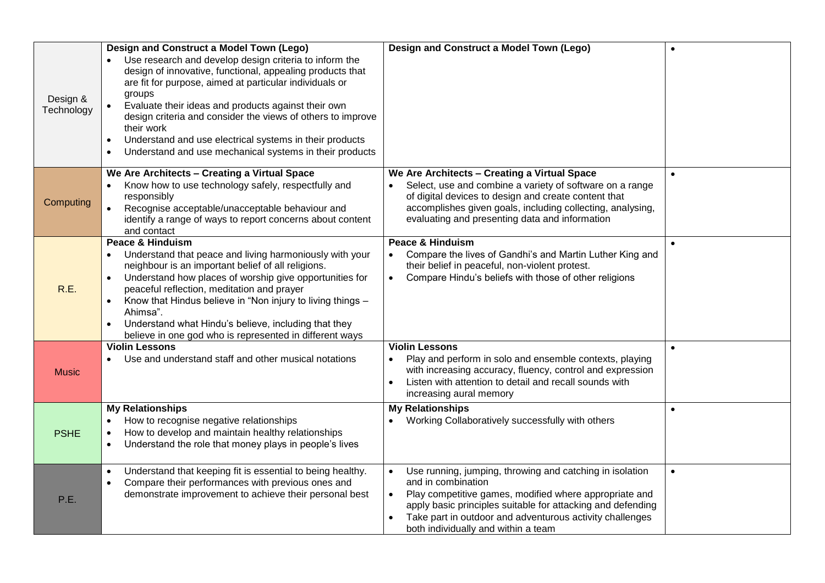| Design &<br>Technology | Design and Construct a Model Town (Lego)<br>Use research and develop design criteria to inform the<br>design of innovative, functional, appealing products that<br>are fit for purpose, aimed at particular individuals or<br>groups<br>Evaluate their ideas and products against their own<br>design criteria and consider the views of others to improve<br>their work<br>Understand and use electrical systems in their products<br>$\bullet$<br>Understand and use mechanical systems in their products | Design and Construct a Model Town (Lego)                                                                                                                                                                                                                                                                   | $\bullet$ |
|------------------------|-------------------------------------------------------------------------------------------------------------------------------------------------------------------------------------------------------------------------------------------------------------------------------------------------------------------------------------------------------------------------------------------------------------------------------------------------------------------------------------------------------------|------------------------------------------------------------------------------------------------------------------------------------------------------------------------------------------------------------------------------------------------------------------------------------------------------------|-----------|
| Computing              | We Are Architects - Creating a Virtual Space<br>Know how to use technology safely, respectfully and<br>responsibly<br>Recognise acceptable/unacceptable behaviour and<br>identify a range of ways to report concerns about content<br>and contact                                                                                                                                                                                                                                                           | We Are Architects - Creating a Virtual Space<br>Select, use and combine a variety of software on a range<br>of digital devices to design and create content that<br>accomplishes given goals, including collecting, analysing,<br>evaluating and presenting data and information                           | $\bullet$ |
| R.E.                   | <b>Peace &amp; Hinduism</b><br>Understand that peace and living harmoniously with your<br>$\bullet$<br>neighbour is an important belief of all religions.<br>Understand how places of worship give opportunities for<br>$\bullet$<br>peaceful reflection, meditation and prayer<br>Know that Hindus believe in "Non injury to living things -<br>$\bullet$<br>Ahimsa".<br>Understand what Hindu's believe, including that they<br>$\bullet$<br>believe in one god who is represented in different ways      | <b>Peace &amp; Hinduism</b><br>Compare the lives of Gandhi's and Martin Luther King and<br>their belief in peaceful, non-violent protest.<br>Compare Hindu's beliefs with those of other religions                                                                                                         | $\bullet$ |
| <b>Music</b>           | <b>Violin Lessons</b><br>Use and understand staff and other musical notations<br>$\bullet$                                                                                                                                                                                                                                                                                                                                                                                                                  | <b>Violin Lessons</b><br>Play and perform in solo and ensemble contexts, playing<br>with increasing accuracy, fluency, control and expression<br>Listen with attention to detail and recall sounds with<br>increasing aural memory                                                                         | $\bullet$ |
| <b>PSHE</b>            | <b>My Relationships</b><br>How to recognise negative relationships<br>$\bullet$<br>How to develop and maintain healthy relationships<br>$\bullet$<br>Understand the role that money plays in people's lives<br>$\bullet$                                                                                                                                                                                                                                                                                    | <b>My Relationships</b><br>Working Collaboratively successfully with others                                                                                                                                                                                                                                |           |
| P.E.                   | Understand that keeping fit is essential to being healthy.<br>$\bullet$<br>Compare their performances with previous ones and<br>$\bullet$<br>demonstrate improvement to achieve their personal best                                                                                                                                                                                                                                                                                                         | Use running, jumping, throwing and catching in isolation<br>and in combination<br>Play competitive games, modified where appropriate and<br>apply basic principles suitable for attacking and defending<br>Take part in outdoor and adventurous activity challenges<br>both individually and within a team | $\bullet$ |